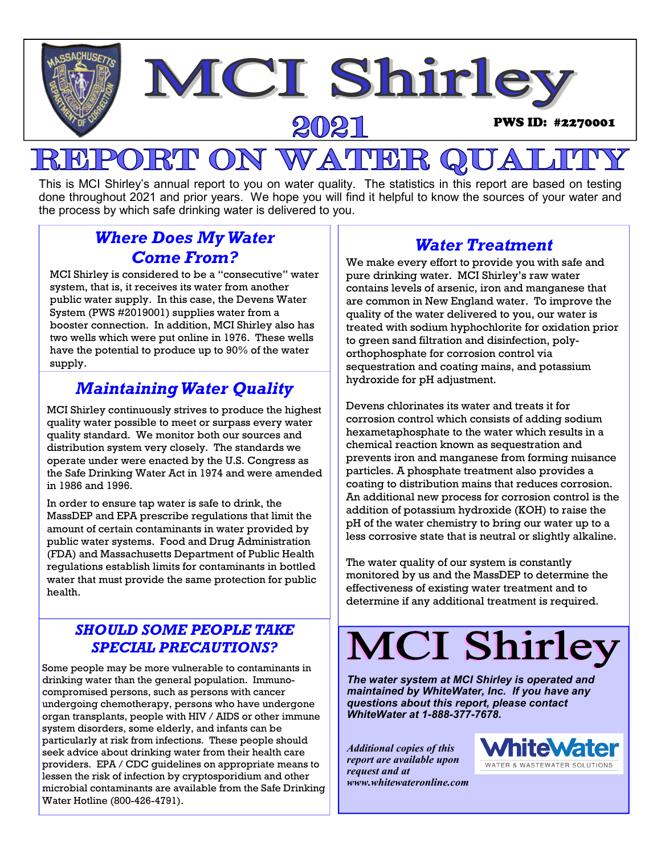

#### This is MCI Shirley's annual report to you on water quality. The statistics in this report are based on testing done throughout 2021 and prior years. We hope you will find it helpful to know the sources of your water and the process by which safe drinking water is delivered to you.

## *Where Does My Water Come From?*

MCI Shirley is considered to be a "consecutive" water system, that is, it receives its water from another public water supply. In this case, the Devens Water System (PWS #2019001) supplies water from a booster connection. In addition, MCI Shirley also has two wells which were put online in 1976. These wells have the potential to produce up to 90% of the water supply.

## *Maintaining Water Quality*

MCI Shirley continuously strives to produce the highest quality water possible to meet or surpass every water quality standard. We monitor both our sources and distribution system very closely. The standards we operate under were enacted by the U.S. Congress as the Safe Drinking Water Act in 1974 and were amended in 1986 and 1996.

In order to ensure tap water is safe to drink, the MassDEP and EPA prescribe regulations that limit the amount of certain contaminants in water provided by public water systems. Food and Drug Administration (FDA) and Massachusetts Department of Public Health regulations establish limits for contaminants in bottled water that must provide the same protection for public health.

## *SHOULD SOME PEOPLE TAKE SPECIAL PRECAUTIONS?*

Some people may be more vulnerable to contaminants in drinking water than the general population. Immunocompromised persons, such as persons with cancer undergoing chemotherapy, persons who have undergone organ transplants, people with HIV / AIDS or other immune system disorders, some elderly, and infants can be particularly at risk from infections. These people should seek advice about drinking water from their health care providers. EPA / CDC guidelines on appropriate means to lessen the risk of infection by cryptosporidium and other microbial contaminants are available from the Safe Drinking Water Hotline (800-426-4791).

## *Water Treatment*

We make every effort to provide you with safe and pure drinking water. MCI Shirley's raw water contains levels of arsenic, iron and manganese that are common in New England water. To improve the quality of the water delivered to you, our water is treated with sodium hyphochlorite for oxidation prior to green sand filtration and disinfection, polyorthophosphate for corrosion control via sequestration and coating mains, and potassium hydroxide for pH adjustment.

Devens chlorinates its water and treats it for corrosion control which consists of adding sodium hexametaphosphate to the water which results in a chemical reaction known as sequestration and prevents iron and manganese from forming nuisance particles. A phosphate treatment also provides a coating to distribution mains that reduces corrosion. An additional new process for corrosion control is the addition of potassium hydroxide (KOH) to raise the pH of the water chemistry to bring our water up to a less corrosive state that is neutral or slightly alkaline.

The water quality of our system is constantly monitored by us and the MassDEP to determine the effectiveness of existing water treatment and to determine if any additional treatment is required.

# **MCI Shirley**

*The water system at MCI Shirley is operated and maintained by WhiteWater, Inc. If you have any questions about this report, please contact WhiteWater at 1-888-377-7678.* 

*Additional copies of this report are available upon request and at www.whitewateronline.com* 

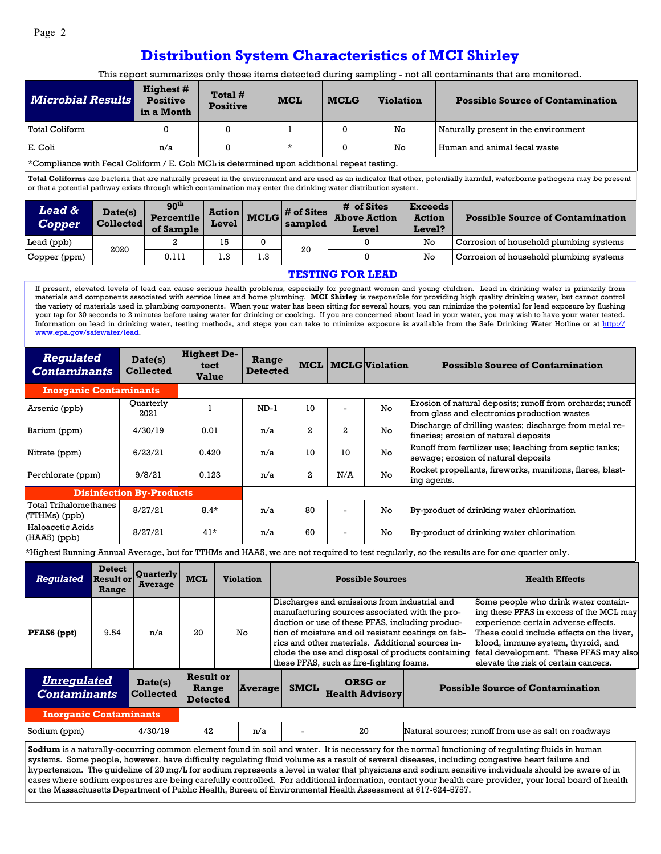## **Distribution System Characteristics of MCI Shirley**

This report summarizes only those items detected during sampling - not all contaminants that are monitored.

| <b>Microbial Results</b>                                                                                                                                                                                                                                                                         |                  | <b>Highest #</b><br><b>Positive</b><br>in a Month | Total #<br><b>Positive</b> |             | <b>MCL</b> | <b>MCLG</b> | <b>Violation</b>             |                         | <b>Possible Source of Contamination</b> |  |  |
|--------------------------------------------------------------------------------------------------------------------------------------------------------------------------------------------------------------------------------------------------------------------------------------------------|------------------|---------------------------------------------------|----------------------------|-------------|------------|-------------|------------------------------|-------------------------|-----------------------------------------|--|--|
| <b>Total Coliform</b>                                                                                                                                                                                                                                                                            |                  |                                                   | 0                          |             |            | 0           | No.                          |                         | Naturally present in the environment    |  |  |
| E. Coli                                                                                                                                                                                                                                                                                          |                  | n/a                                               | 0                          |             | $\star$    | 0           | No.                          |                         | Human and animal fecal waste            |  |  |
| *Compliance with Fecal Coliform / E. Coli MCL is determined upon additional repeat testing.                                                                                                                                                                                                      |                  |                                                   |                            |             |            |             |                              |                         |                                         |  |  |
| Total Coliforms are bacteria that are naturally present in the environment and are used as an indicator that other, potentially harmful, waterborne pathogens may be present<br>or that a potential pathway exists through which contamination may enter the drinking water distribution system. |                  |                                                   |                            |             |            |             |                              |                         |                                         |  |  |
| <b>Lead &amp;</b><br>Date(s)                                                                                                                                                                                                                                                                     |                  | 90 <sup>th</sup>                                  | <b>Action</b>              |             | # of Sites | # of Sites  |                              | <b>Exceeds</b>          |                                         |  |  |
| <b>Copper</b>                                                                                                                                                                                                                                                                                    | <b>Collected</b> | <b>Percentile</b><br>of Sample                    | Level                      | <b>MCLG</b> | sampled    |             | <b>Above Action</b><br>Level | <b>Action</b><br>Level? | <b>Possible Source of Contamination</b> |  |  |
| Lead (ppb)                                                                                                                                                                                                                                                                                       | 2020             | 2                                                 | 15                         | 0           | 20         |             | 0                            | No                      | Corrosion of household plumbing systems |  |  |
| Copper (ppm)                                                                                                                                                                                                                                                                                     |                  | 0.111                                             | 1.3                        | 1.3         |            |             | $\Omega$                     | No.                     | Corrosion of household plumbing systems |  |  |

#### **TESTING FOR LEAD**

If present, elevated levels of lead can cause serious health problems, especially for pregnant women and young children. Lead in drinking water is primarily from materials and components associated with service lines and home plumbing. **MCI Shirley** is responsible for providing high quality drinking water, but cannot control the variety of materials used in plumbing components. When your water has been sitting for several hours, you can minimize the potential for lead exposure by flushing your tap for 30 seconds to 2 minutes before using water for drinking or cooking. If you are concerned about lead in your water, you may wish to have your water tested. Information on lead in drinking water, testing methods, and steps you can take to minimize exposure is available from the Safe Drinking Water Hotline or at http:// www.epa.gov/safewater/lead.

| <b>Regulated</b><br><b>Contaminants</b>                        |  | Date(s)<br><b>Collected</b>                                  | <b>Highest De-</b><br>tect<br><b>Value</b> |  | Range<br><b>Detected</b> | MCL                                      |              | <b>MCLG</b> Violation   |                                                                                                                                                                                                                                                                                                                   | <b>Possible Source of Contamination</b>                                                                                                                                                                                                                                                     |  |
|----------------------------------------------------------------|--|--------------------------------------------------------------|--------------------------------------------|--|--------------------------|------------------------------------------|--------------|-------------------------|-------------------------------------------------------------------------------------------------------------------------------------------------------------------------------------------------------------------------------------------------------------------------------------------------------------------|---------------------------------------------------------------------------------------------------------------------------------------------------------------------------------------------------------------------------------------------------------------------------------------------|--|
| <b>Inorganic Contaminants</b>                                  |  |                                                              |                                            |  |                          |                                          |              |                         |                                                                                                                                                                                                                                                                                                                   |                                                                                                                                                                                                                                                                                             |  |
| Arsenic (ppb)                                                  |  | Quarterly<br>2021                                            | 1                                          |  | $ND-1$                   | 10                                       |              | No                      | Erosion of natural deposits; runoff from orchards; runoff<br>from glass and electronics production wastes                                                                                                                                                                                                         |                                                                                                                                                                                                                                                                                             |  |
| Barium (ppm)                                                   |  | 4/30/19                                                      | 0.01                                       |  | n/a                      | 2                                        | $\mathbf{2}$ | No                      |                                                                                                                                                                                                                                                                                                                   | Discharge of drilling wastes; discharge from metal re-<br>fineries; erosion of natural deposits                                                                                                                                                                                             |  |
| Nitrate (ppm)                                                  |  | 6/23/21                                                      | 0.420                                      |  | n/a                      | 10                                       | 10           | No                      | Runoff from fertilizer use; leaching from septic tanks;<br>sewage; erosion of natural deposits                                                                                                                                                                                                                    |                                                                                                                                                                                                                                                                                             |  |
| Perchlorate (ppm)                                              |  | 9/8/21                                                       | 0.123                                      |  | n/a                      | $\mathbf{2}$                             | N/A          | No                      | ing agents.                                                                                                                                                                                                                                                                                                       | Rocket propellants, fireworks, munitions, flares, blast-                                                                                                                                                                                                                                    |  |
| <b>Disinfection By-Products</b>                                |  |                                                              |                                            |  |                          |                                          |              |                         |                                                                                                                                                                                                                                                                                                                   |                                                                                                                                                                                                                                                                                             |  |
| <b>Total Trihalomethanes</b><br>(TTHMs) (ppb)                  |  | 8/27/21                                                      | $8.4*$                                     |  | n/a                      | 80                                       | ÷            | No                      |                                                                                                                                                                                                                                                                                                                   | By-product of drinking water chlorination                                                                                                                                                                                                                                                   |  |
| Haloacetic Acids<br>$(HAA5)$ (ppb)                             |  | 8/27/21                                                      | $41*$                                      |  | n/a                      | 60                                       |              | No                      |                                                                                                                                                                                                                                                                                                                   | By-product of drinking water chlorination                                                                                                                                                                                                                                                   |  |
|                                                                |  |                                                              |                                            |  |                          |                                          |              |                         |                                                                                                                                                                                                                                                                                                                   | *Highest Running Annual Average, but for TTHMs and HAA5, we are not required to test regularly, so the results are for one quarter only.                                                                                                                                                    |  |
| <b>Detect</b><br><b>Regulated</b><br><b>Result or</b><br>Range |  | <b>Ouarterly</b><br><b>Average</b>                           | <b>MCL</b>                                 |  | <b>Violation</b>         |                                          |              | <b>Possible Sources</b> | <b>Health Effects</b>                                                                                                                                                                                                                                                                                             |                                                                                                                                                                                                                                                                                             |  |
| 9.54<br>PFAS6 (ppt)                                            |  | n/a                                                          | 20                                         |  | No                       | these PFAS, such as fire-fighting foams. |              |                         | Discharges and emissions from industrial and<br>manufacturing sources associated with the pro-<br>duction or use of these PFAS, including produc-<br>tion of moisture and oil resistant coatings on fab-<br>rics and other materials. Additional sources in-<br>clude the use and disposal of products containing | Some people who drink water contain-<br>ing these PFAS in excess of the MCL may<br>experience certain adverse effects.<br>These could include effects on the liver,<br>blood, immune system, thyroid, and<br>fetal development. These PFAS may also<br>elevate the risk of certain cancers. |  |
| IInramılatad                                                   |  | $\mathbf{D}_{\mathbf{a}}$ <i>t<sub>a</sub>(<sub>a</sub>)</i> | <b>Result or</b>                           |  |                          |                                          | $\Omega$     |                         |                                                                                                                                                                                                                                                                                                                   |                                                                                                                                                                                                                                                                                             |  |

| Unregulated<br><i><b>Contaminants</b></i> | Date(s)<br><b>Collected</b> | Result or<br>Range<br><b>Detected</b> | Average | <b>SMCL</b>              | ORSG or<br><b>Health Advisory</b> | <b>Possible Source of Contamination</b>              |
|-------------------------------------------|-----------------------------|---------------------------------------|---------|--------------------------|-----------------------------------|------------------------------------------------------|
| <b>Inorganic Contaminants</b>             |                             |                                       |         |                          |                                   |                                                      |
| Sodium (ppm)                              | 4/30/19                     | 42                                    | n/a     | $\overline{\phantom{0}}$ | 20                                | Natural sources; runoff from use as salt on roadways |

**Sodium** is a naturally-occurring common element found in soil and water. It is necessary for the normal functioning of regulating fluids in human systems. Some people, however, have difficulty regulating fluid volume as a result of several diseases, including congestive heart failure and hypertension. The guideline of 20 mg/L for sodium represents a level in water that physicians and sodium sensitive individuals should be aware of in cases where sodium exposures are being carefully controlled. For additional information, contact your health care provider, your local board of health or the Massachusetts Department of Public Health, Bureau of Environmental Health Assessment at 617-624-5757.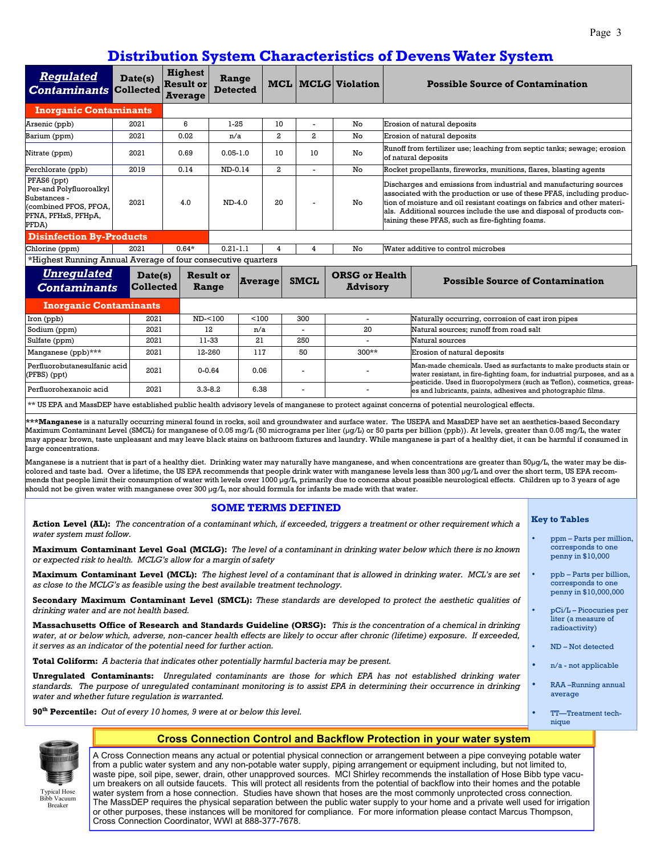### **Distribution System Characteristics of Devens Water System**

|                                                                                                                                                                                                                                                                                                                                                                                                                                                                                                                                                                                                                                                                                                                                                                                                                                                                                                                                                                                                                                                                                                                                                                                                                  |                                                                          |                                                      |                          |                |                  |                           |                                          |                             | Distribution bysiem Characteristics of Devens water bysiem                                                                                                                                                                                                                                                                                            |  |  |
|------------------------------------------------------------------------------------------------------------------------------------------------------------------------------------------------------------------------------------------------------------------------------------------------------------------------------------------------------------------------------------------------------------------------------------------------------------------------------------------------------------------------------------------------------------------------------------------------------------------------------------------------------------------------------------------------------------------------------------------------------------------------------------------------------------------------------------------------------------------------------------------------------------------------------------------------------------------------------------------------------------------------------------------------------------------------------------------------------------------------------------------------------------------------------------------------------------------|--------------------------------------------------------------------------|------------------------------------------------------|--------------------------|----------------|------------------|---------------------------|------------------------------------------|-----------------------------|-------------------------------------------------------------------------------------------------------------------------------------------------------------------------------------------------------------------------------------------------------------------------------------------------------------------------------------------------------|--|--|
| <b>Regulated</b><br><b>Contaminants Collected</b>                                                                                                                                                                                                                                                                                                                                                                                                                                                                                                                                                                                                                                                                                                                                                                                                                                                                                                                                                                                                                                                                                                                                                                | Date(s)                                                                  | <b>Highest</b><br><b>Result or</b><br><b>Average</b> | Range<br><b>Detected</b> |                |                  |                           | <b>MCL MCLG Violation</b>                |                             | <b>Possible Source of Contamination</b>                                                                                                                                                                                                                                                                                                               |  |  |
| <b>Inorganic Contaminants</b>                                                                                                                                                                                                                                                                                                                                                                                                                                                                                                                                                                                                                                                                                                                                                                                                                                                                                                                                                                                                                                                                                                                                                                                    |                                                                          |                                                      |                          |                |                  |                           |                                          |                             |                                                                                                                                                                                                                                                                                                                                                       |  |  |
| Arsenic (ppb)<br>2021                                                                                                                                                                                                                                                                                                                                                                                                                                                                                                                                                                                                                                                                                                                                                                                                                                                                                                                                                                                                                                                                                                                                                                                            |                                                                          | 6                                                    | $1 - 25$                 |                | 10               |                           | No                                       | Erosion of natural deposits |                                                                                                                                                                                                                                                                                                                                                       |  |  |
| 2021<br>Barium (ppm)                                                                                                                                                                                                                                                                                                                                                                                                                                                                                                                                                                                                                                                                                                                                                                                                                                                                                                                                                                                                                                                                                                                                                                                             |                                                                          | 0.02                                                 | n/a                      |                | $\boldsymbol{2}$ | $\overline{\mathbf{2}}$   | No                                       | Erosion of natural deposits |                                                                                                                                                                                                                                                                                                                                                       |  |  |
| Nitrate (ppm)                                                                                                                                                                                                                                                                                                                                                                                                                                                                                                                                                                                                                                                                                                                                                                                                                                                                                                                                                                                                                                                                                                                                                                                                    | 0.69<br>2021                                                             |                                                      | $0.05 - 1.0$             |                | 10               | 10                        | No                                       |                             | Runoff from fertilizer use; leaching from septic tanks; sewage; erosion<br>of natural deposits                                                                                                                                                                                                                                                        |  |  |
| 2019<br>Perchlorate (ppb)                                                                                                                                                                                                                                                                                                                                                                                                                                                                                                                                                                                                                                                                                                                                                                                                                                                                                                                                                                                                                                                                                                                                                                                        |                                                                          | 0.14                                                 | ND-0.14                  |                | $\overline{a}$   | $\overline{\phantom{a}}$  | No                                       |                             | Rocket propellants, fireworks, munitions, flares, blasting agents                                                                                                                                                                                                                                                                                     |  |  |
| PFAS6 (ppt)<br>Per-and Polyfluoroalkyl<br>Substances -<br>2021<br>(combined PFOS, PFOA,<br>PFNA, PFHxS, PFHpA,<br>PFDA)                                                                                                                                                                                                                                                                                                                                                                                                                                                                                                                                                                                                                                                                                                                                                                                                                                                                                                                                                                                                                                                                                          |                                                                          | 4.0                                                  | $ND-4.0$                 |                | 20               |                           | No                                       |                             | Discharges and emissions from industrial and manufacturing sources<br>associated with the production or use of these PFAS, including produc-<br>tion of moisture and oil resistant coatings on fabrics and other materi-<br>als. Additional sources include the use and disposal of products con-<br>taining these PFAS, such as fire-fighting foams. |  |  |
| <b>Disinfection By-Products</b>                                                                                                                                                                                                                                                                                                                                                                                                                                                                                                                                                                                                                                                                                                                                                                                                                                                                                                                                                                                                                                                                                                                                                                                  |                                                                          |                                                      |                          |                |                  |                           |                                          |                             |                                                                                                                                                                                                                                                                                                                                                       |  |  |
| Chlorine (ppm)                                                                                                                                                                                                                                                                                                                                                                                                                                                                                                                                                                                                                                                                                                                                                                                                                                                                                                                                                                                                                                                                                                                                                                                                   | 2021                                                                     | $0.64*$                                              | $0.21 - 1.1$             |                | 4                | $\overline{\mathbf{4}}$   | No                                       |                             | Water additive to control microbes                                                                                                                                                                                                                                                                                                                    |  |  |
| *Highest Running Annual Average of four consecutive quarters                                                                                                                                                                                                                                                                                                                                                                                                                                                                                                                                                                                                                                                                                                                                                                                                                                                                                                                                                                                                                                                                                                                                                     |                                                                          |                                                      |                          |                |                  |                           |                                          |                             |                                                                                                                                                                                                                                                                                                                                                       |  |  |
| <b>Unregulated</b><br><b>Contaminants</b>                                                                                                                                                                                                                                                                                                                                                                                                                                                                                                                                                                                                                                                                                                                                                                                                                                                                                                                                                                                                                                                                                                                                                                        | Date(s)<br><b>Collected</b>                                              | <b>Result or</b><br>Range                            |                          | <b>Average</b> |                  | <b>SMCL</b>               | <b>ORSG or Health</b><br><b>Advisory</b> |                             | <b>Possible Source of Contamination</b>                                                                                                                                                                                                                                                                                                               |  |  |
| <b>Inorganic Contaminants</b>                                                                                                                                                                                                                                                                                                                                                                                                                                                                                                                                                                                                                                                                                                                                                                                                                                                                                                                                                                                                                                                                                                                                                                                    |                                                                          |                                                      |                          |                |                  |                           |                                          |                             |                                                                                                                                                                                                                                                                                                                                                       |  |  |
| Iron (ppb)                                                                                                                                                                                                                                                                                                                                                                                                                                                                                                                                                                                                                                                                                                                                                                                                                                                                                                                                                                                                                                                                                                                                                                                                       | 2021                                                                     |                                                      | ND-<100<br>< 100         |                |                  | 300                       | $\overline{\phantom{0}}$                 |                             | Naturally occurring, corrosion of cast iron pipes                                                                                                                                                                                                                                                                                                     |  |  |
| Sodium (ppm)                                                                                                                                                                                                                                                                                                                                                                                                                                                                                                                                                                                                                                                                                                                                                                                                                                                                                                                                                                                                                                                                                                                                                                                                     | 2021                                                                     |                                                      | 12                       |                | n/a              |                           | 20                                       |                             | Natural sources; runoff from road salt                                                                                                                                                                                                                                                                                                                |  |  |
| Sulfate (ppm)                                                                                                                                                                                                                                                                                                                                                                                                                                                                                                                                                                                                                                                                                                                                                                                                                                                                                                                                                                                                                                                                                                                                                                                                    | 2021                                                                     | 11-33                                                |                          | 21             |                  | 250                       | $\overline{a}$                           |                             | Natural sources                                                                                                                                                                                                                                                                                                                                       |  |  |
| Manganese (ppb)***<br>2021                                                                                                                                                                                                                                                                                                                                                                                                                                                                                                                                                                                                                                                                                                                                                                                                                                                                                                                                                                                                                                                                                                                                                                                       |                                                                          |                                                      | 12-260<br>117            |                |                  | 50                        | $300**$                                  |                             | Erosion of natural deposits                                                                                                                                                                                                                                                                                                                           |  |  |
| Perfluorobutanesulfanic acid<br>2021<br>(PFBS) (ppt)                                                                                                                                                                                                                                                                                                                                                                                                                                                                                                                                                                                                                                                                                                                                                                                                                                                                                                                                                                                                                                                                                                                                                             |                                                                          |                                                      | $0 - 0.64$<br>0.06       |                |                  |                           |                                          |                             | Man-made chemicals. Used as surfactants to make products stain or<br>water resistant, in fire-fighting foam, for industrial purposes, and as a<br>pesticide. Used in fluoropolymers (such as Teflon), cosmetics, greas-                                                                                                                               |  |  |
| Perfluorohexanoic acid                                                                                                                                                                                                                                                                                                                                                                                                                                                                                                                                                                                                                                                                                                                                                                                                                                                                                                                                                                                                                                                                                                                                                                                           | 2021                                                                     | $3.3 - 8.2$                                          |                          | 6.38           |                  |                           |                                          |                             | es and lubricants, paints, adhesives and photographic films.                                                                                                                                                                                                                                                                                          |  |  |
|                                                                                                                                                                                                                                                                                                                                                                                                                                                                                                                                                                                                                                                                                                                                                                                                                                                                                                                                                                                                                                                                                                                                                                                                                  |                                                                          |                                                      |                          |                |                  |                           |                                          |                             | ** US EPA and MassDEP have established public health advisory levels of manganese to protect against concerns of potential neurological effects.                                                                                                                                                                                                      |  |  |
| ***Manganese is a naturally occurring mineral found in rocks, soil and groundwater and surface water. The USEPA and MassDEP have set an aesthetics-based Secondary<br>Maximum Contaminant Level (SMCL) for manganese of 0.05 mg/L (50 micrograms per liter (µg/L) or 50 parts per billion (ppb)). At levels, greater than 0.05 mg/L, the water<br>may appear brown, taste unpleasant and may leave black stains on bathroom fixtures and laundry. While manganese is part of a healthy diet, it can be harmful if consumed in<br>large concentrations.<br>Manganese is a nutrient that is part of a healthy diet. Drinking water may naturally have manganese, and when concentrations are greater than 50µg/L, the water may be dis-<br>colored and taste bad. Over a lifetime, the US EPA recommends that people drink water with manganese levels less than 300 µg/L and over the short term, US EPA recom-<br>mends that people limit their consumption of water with levels over 1000 µg/L, primarily due to concerns about possible neurological effects. Children up to 3 years of age<br>should not be given water with manganese over 300 µg/L, nor should formula for infants be made with that water. |                                                                          |                                                      |                          |                |                  |                           |                                          |                             |                                                                                                                                                                                                                                                                                                                                                       |  |  |
|                                                                                                                                                                                                                                                                                                                                                                                                                                                                                                                                                                                                                                                                                                                                                                                                                                                                                                                                                                                                                                                                                                                                                                                                                  |                                                                          |                                                      |                          |                |                  | <b>SOME TERMS DEFINED</b> |                                          |                             |                                                                                                                                                                                                                                                                                                                                                       |  |  |
| <b>Action Level (AL):</b> The concentration of a contaminant which, if exceeded, triggers a treatment or other requirement which a<br>water system must follow.                                                                                                                                                                                                                                                                                                                                                                                                                                                                                                                                                                                                                                                                                                                                                                                                                                                                                                                                                                                                                                                  | <b>Key to Tables</b>                                                     |                                                      |                          |                |                  |                           |                                          |                             |                                                                                                                                                                                                                                                                                                                                                       |  |  |
| Maximum Contaminant Level Goal (MCLG): The level of a contaminant in drinking water below which there is no known<br>or expected risk to health. MCLG's allow for a margin of safety                                                                                                                                                                                                                                                                                                                                                                                                                                                                                                                                                                                                                                                                                                                                                                                                                                                                                                                                                                                                                             | ppm – Parts per million,<br>٠<br>corresponds to one<br>penny in \$10,000 |                                                      |                          |                |                  |                           |                                          |                             |                                                                                                                                                                                                                                                                                                                                                       |  |  |
| <b>Maximum Contaminant Level (MCL):</b> The highest level of a contaminant that is allowed in drinking water. MCL's are set<br>as close to the MCLG's as feasible using the best available treatment technology.                                                                                                                                                                                                                                                                                                                                                                                                                                                                                                                                                                                                                                                                                                                                                                                                                                                                                                                                                                                                 | ppb – Parts per billion,<br>corresponds to one<br>penny in \$10,000,000  |                                                      |                          |                |                  |                           |                                          |                             |                                                                                                                                                                                                                                                                                                                                                       |  |  |
| <b>Secondary Maximum Contaminant Level (SMCL):</b> These standards are developed to protect the aesthetic qualities of<br>drinking water and are not health based.                                                                                                                                                                                                                                                                                                                                                                                                                                                                                                                                                                                                                                                                                                                                                                                                                                                                                                                                                                                                                                               | $\bullet$<br>$pCi/L-Picocuries per$                                      |                                                      |                          |                |                  |                           |                                          |                             |                                                                                                                                                                                                                                                                                                                                                       |  |  |
| <b>Massachusetts Office of Research and Standards Guideline (ORSG):</b> This is the concentration of a chemical in drinking<br>water, at or below which, adverse, non-cancer health effects are likely to occur after chronic (lifetime) exposure. If exceeded,                                                                                                                                                                                                                                                                                                                                                                                                                                                                                                                                                                                                                                                                                                                                                                                                                                                                                                                                                  | liter (a measure of<br>radioactivity)<br>ND-Not detected<br>٠            |                                                      |                          |                |                  |                           |                                          |                             |                                                                                                                                                                                                                                                                                                                                                       |  |  |
| it serves as an indicator of the potential need for further action.<br><b>Total Coliform:</b> A bacteria that indicates other potentially harmful bacteria may be present.<br>$n/a$ - not applicable<br>$\bullet$                                                                                                                                                                                                                                                                                                                                                                                                                                                                                                                                                                                                                                                                                                                                                                                                                                                                                                                                                                                                |                                                                          |                                                      |                          |                |                  |                           |                                          |                             |                                                                                                                                                                                                                                                                                                                                                       |  |  |

**Unregulated Contaminants:** *Unregulated contaminants are those for which EPA has not established drinking water standards. The purpose of unregulated contaminant monitoring is to assist EPA in determining their occurrence in drinking water and whether future regulation is warranted.* 

**90th Percentile:** *Out of every 10 homes, 9 were at or below this level.*

• RAA –Running annual average

• TT—Treatment technique



Bibb Vacuum Breaker

#### **Cross Connection Control and Backflow Protection in your water system**

A Cross Connection means any actual or potential physical connection or arrangement between a pipe conveying potable water from a public water system and any non-potable water supply, piping arrangement or equipment including, but not limited to, waste pipe, soil pipe, sewer, drain, other unapproved sources. MCI Shirley recommends the installation of Hose Bibb type vacuum breakers on all outside faucets. This will protect all residents from the potential of backflow into their homes and the potable water system from a hose connection. Studies have shown that hoses are the most commonly unprotected cross connection. The MassDEP requires the physical separation between the public water supply to your home and a private well used for irrigation or other purposes, these instances will be monitored for compliance. For more information please contact Marcus Thompson, Cross Connection Coordinator, WWI at 888-377-7678.